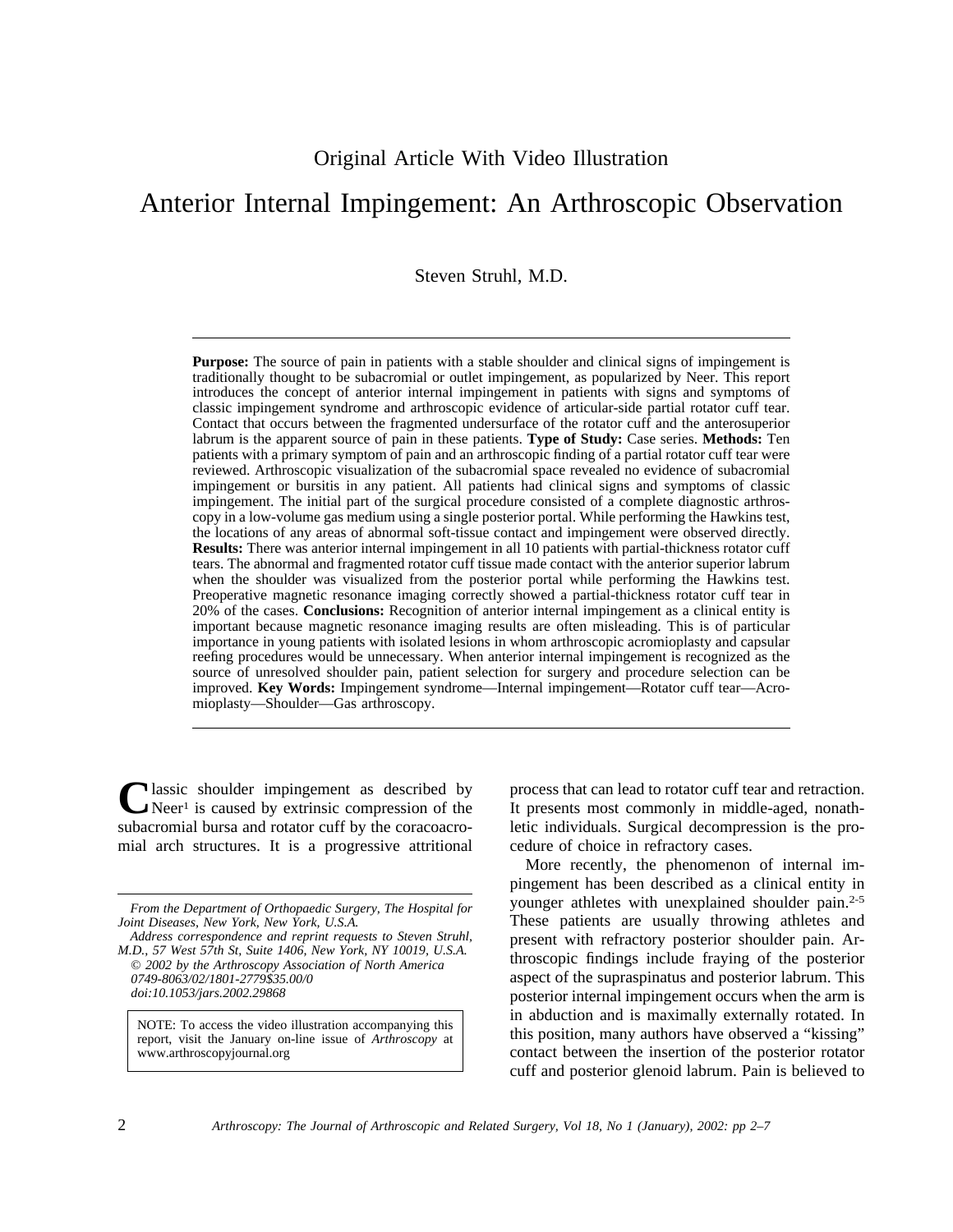# Anterior Internal Impingement: An Arthroscopic Observation

Steven Struhl, M.D.

**Purpose:** The source of pain in patients with a stable shoulder and clinical signs of impingement is traditionally thought to be subacromial or outlet impingement, as popularized by Neer. This report introduces the concept of anterior internal impingement in patients with signs and symptoms of classic impingement syndrome and arthroscopic evidence of articular-side partial rotator cuff tear. Contact that occurs between the fragmented undersurface of the rotator cuff and the anterosuperior labrum is the apparent source of pain in these patients. **Type of Study:** Case series. **Methods:** Ten patients with a primary symptom of pain and an arthroscopic finding of a partial rotator cuff tear were reviewed. Arthroscopic visualization of the subacromial space revealed no evidence of subacromial impingement or bursitis in any patient. All patients had clinical signs and symptoms of classic impingement. The initial part of the surgical procedure consisted of a complete diagnostic arthroscopy in a low-volume gas medium using a single posterior portal. While performing the Hawkins test, the locations of any areas of abnormal soft-tissue contact and impingement were observed directly. **Results:** There was anterior internal impingement in all 10 patients with partial-thickness rotator cuff tears. The abnormal and fragmented rotator cuff tissue made contact with the anterior superior labrum when the shoulder was visualized from the posterior portal while performing the Hawkins test. Preoperative magnetic resonance imaging correctly showed a partial-thickness rotator cuff tear in 20% of the cases. **Conclusions:** Recognition of anterior internal impingement as a clinical entity is important because magnetic resonance imaging results are often misleading. This is of particular importance in young patients with isolated lesions in whom arthroscopic acromioplasty and capsular reefing procedures would be unnecessary. When anterior internal impingement is recognized as the source of unresolved shoulder pain, patient selection for surgery and procedure selection can be improved. **Key Words:** Impingement syndrome—Internal impingement—Rotator cuff tear—Acromioplasty—Shoulder—Gas arthroscopy.

**Iassic shoulder impingement as described by**  $\blacktriangleright$ Neer<sup>1</sup> is caused by extrinsic compression of the subacromial bursa and rotator cuff by the coracoacromial arch structures. It is a progressive attritional

NOTE: To access the video illustration accompanying this report, visit the January on-line issue of *Arthroscopy* at www.arthroscopyjournal.org

process that can lead to rotator cuff tear and retraction. It presents most commonly in middle-aged, nonathletic individuals. Surgical decompression is the procedure of choice in refractory cases.

More recently, the phenomenon of internal impingement has been described as a clinical entity in younger athletes with unexplained shoulder pain.2-5 These patients are usually throwing athletes and present with refractory posterior shoulder pain. Arthroscopic findings include fraying of the posterior aspect of the supraspinatus and posterior labrum. This posterior internal impingement occurs when the arm is in abduction and is maximally externally rotated. In this position, many authors have observed a "kissing" contact between the insertion of the posterior rotator cuff and posterior glenoid labrum. Pain is believed to

*From the Department of Orthopaedic Surgery, The Hospital for Joint Diseases, New York, New York, U.S.A.*

*Address correspondence and reprint requests to Steven Struhl, M.D., 57 West 57th St, Suite 1406, New York, NY 10019, U.S.A.* © *2002 by the Arthroscopy Association of North America 0749-8063/02/1801-2779\$35.00/0 doi:10.1053/jars.2002.29868*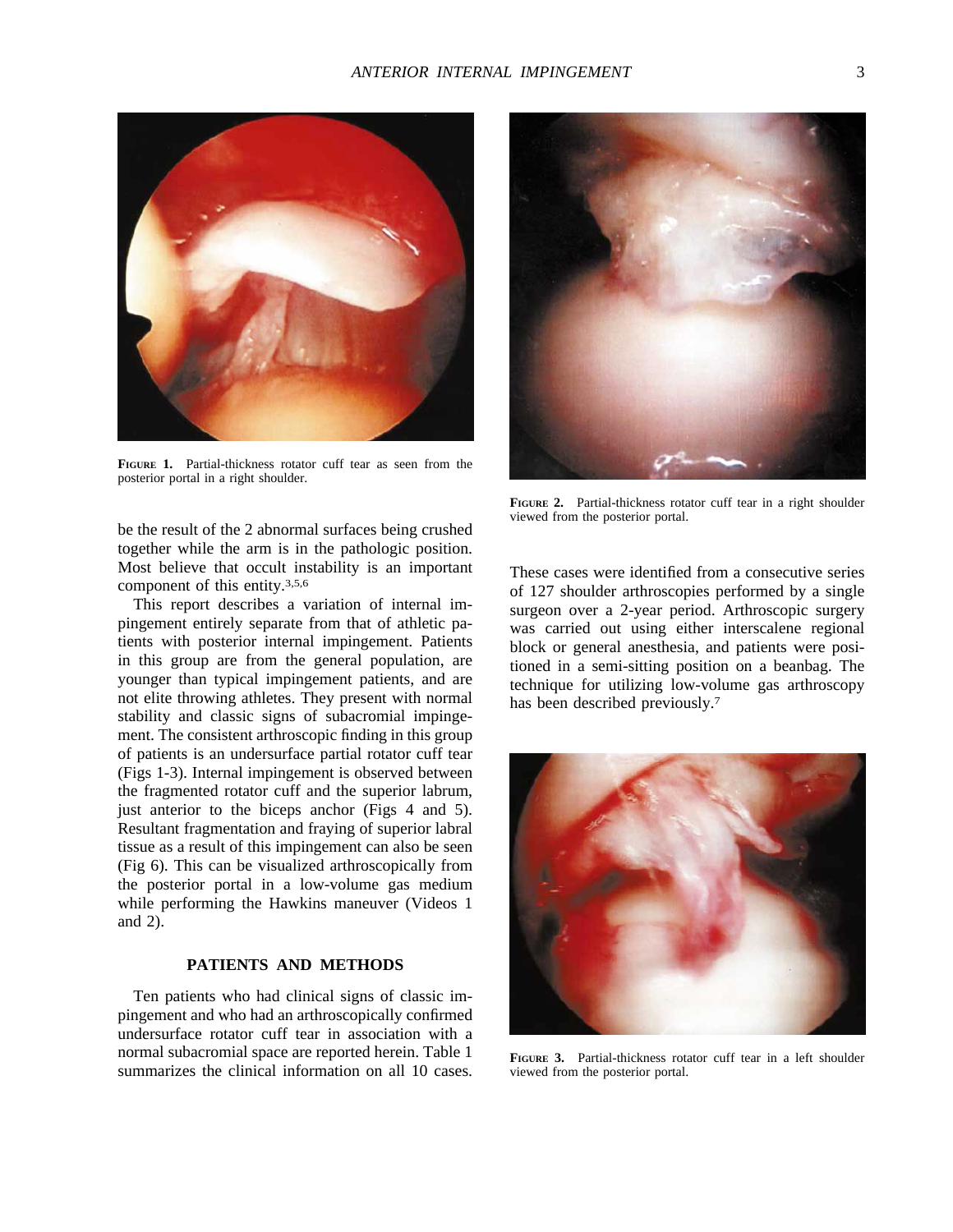

**FIGURE 1.** Partial-thickness rotator cuff tear as seen from the posterior portal in a right shoulder.

be the result of the 2 abnormal surfaces being crushed together while the arm is in the pathologic position. Most believe that occult instability is an important component of this entity.3,5,6

This report describes a variation of internal impingement entirely separate from that of athletic patients with posterior internal impingement. Patients in this group are from the general population, are younger than typical impingement patients, and are not elite throwing athletes. They present with normal stability and classic signs of subacromial impingement. The consistent arthroscopic finding in this group of patients is an undersurface partial rotator cuff tear (Figs 1-3). Internal impingement is observed between the fragmented rotator cuff and the superior labrum, just anterior to the biceps anchor (Figs 4 and 5). Resultant fragmentation and fraying of superior labral tissue as a result of this impingement can also be seen (Fig 6). This can be visualized arthroscopically from the posterior portal in a low-volume gas medium while performing the Hawkins maneuver (Videos 1 and 2).

## **PATIENTS AND METHODS**

Ten patients who had clinical signs of classic impingement and who had an arthroscopically confirmed undersurface rotator cuff tear in association with a normal subacromial space are reported herein. Table 1 summarizes the clinical information on all 10 cases.



**FIGURE 2.** Partial-thickness rotator cuff tear in a right shoulder viewed from the posterior portal.

These cases were identified from a consecutive series of 127 shoulder arthroscopies performed by a single surgeon over a 2-year period. Arthroscopic surgery was carried out using either interscalene regional block or general anesthesia, and patients were positioned in a semi-sitting position on a beanbag. The technique for utilizing low-volume gas arthroscopy has been described previously.7



**FIGURE 3.** Partial-thickness rotator cuff tear in a left shoulder viewed from the posterior portal.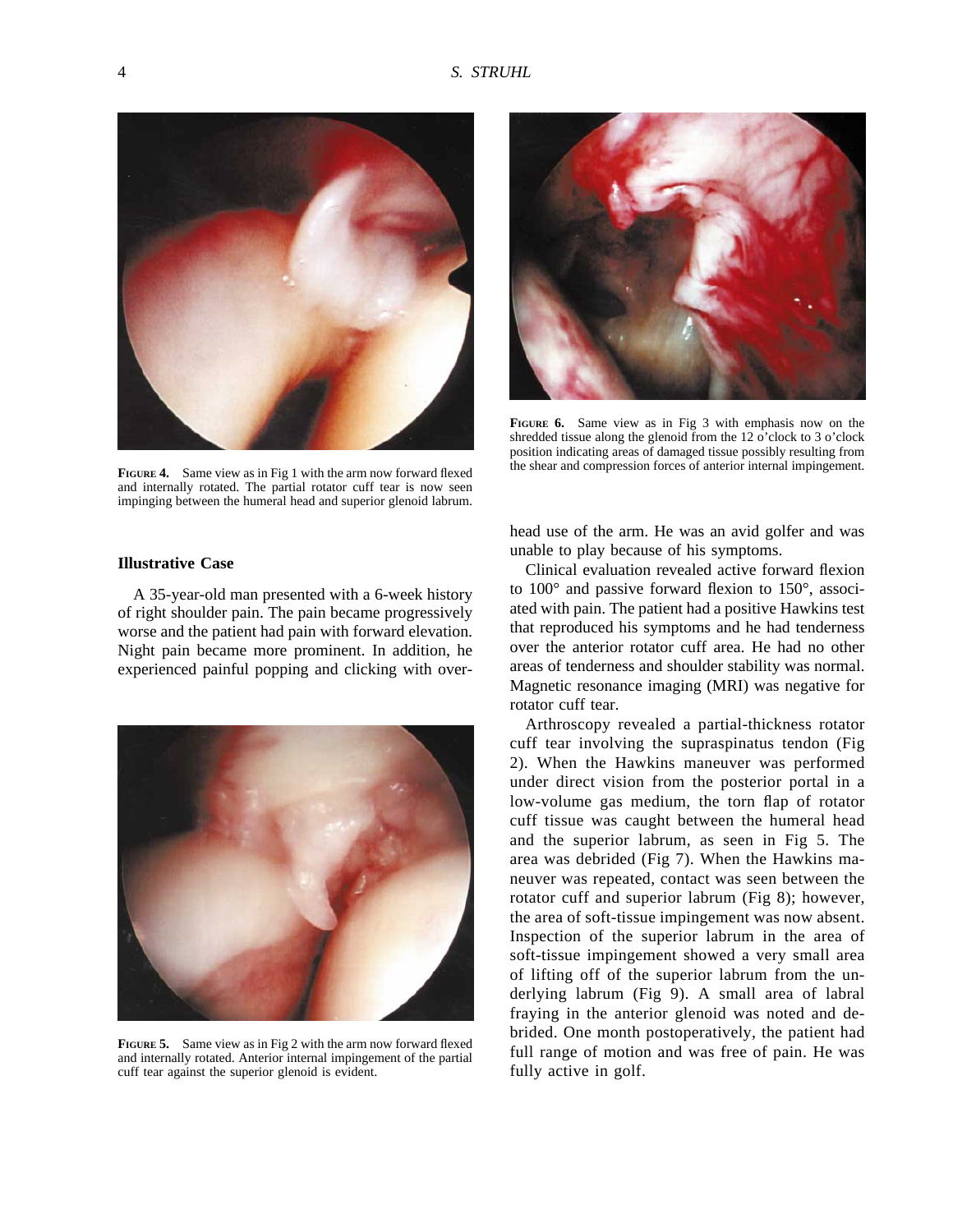

**FIGURE 4.** Same view as in Fig 1 with the arm now forward flexed and internally rotated. The partial rotator cuff tear is now seen impinging between the humeral head and superior glenoid labrum.



**FIGURE 6.** Same view as in Fig 3 with emphasis now on the shredded tissue along the glenoid from the 12 o'clock to 3 o'clock position indicating areas of damaged tissue possibly resulting from the shear and compression forces of anterior internal impingement.

### **Illustrative Case**

A 35-year-old man presented with a 6-week history of right shoulder pain. The pain became progressively worse and the patient had pain with forward elevation. Night pain became more prominent. In addition, he experienced painful popping and clicking with over-



**FIGURE 5.** Same view as in Fig 2 with the arm now forward flexed and internally rotated. Anterior internal impingement of the partial cuff tear against the superior glenoid is evident.

head use of the arm. He was an avid golfer and was unable to play because of his symptoms.

Clinical evaluation revealed active forward flexion to 100° and passive forward flexion to 150°, associated with pain. The patient had a positive Hawkins test that reproduced his symptoms and he had tenderness over the anterior rotator cuff area. He had no other areas of tenderness and shoulder stability was normal. Magnetic resonance imaging (MRI) was negative for rotator cuff tear.

Arthroscopy revealed a partial-thickness rotator cuff tear involving the supraspinatus tendon (Fig 2). When the Hawkins maneuver was performed under direct vision from the posterior portal in a low-volume gas medium, the torn flap of rotator cuff tissue was caught between the humeral head and the superior labrum, as seen in Fig 5. The area was debrided (Fig 7). When the Hawkins maneuver was repeated, contact was seen between the rotator cuff and superior labrum (Fig 8); however, the area of soft-tissue impingement was now absent. Inspection of the superior labrum in the area of soft-tissue impingement showed a very small area of lifting off of the superior labrum from the underlying labrum (Fig 9). A small area of labral fraying in the anterior glenoid was noted and debrided. One month postoperatively, the patient had full range of motion and was free of pain. He was fully active in golf.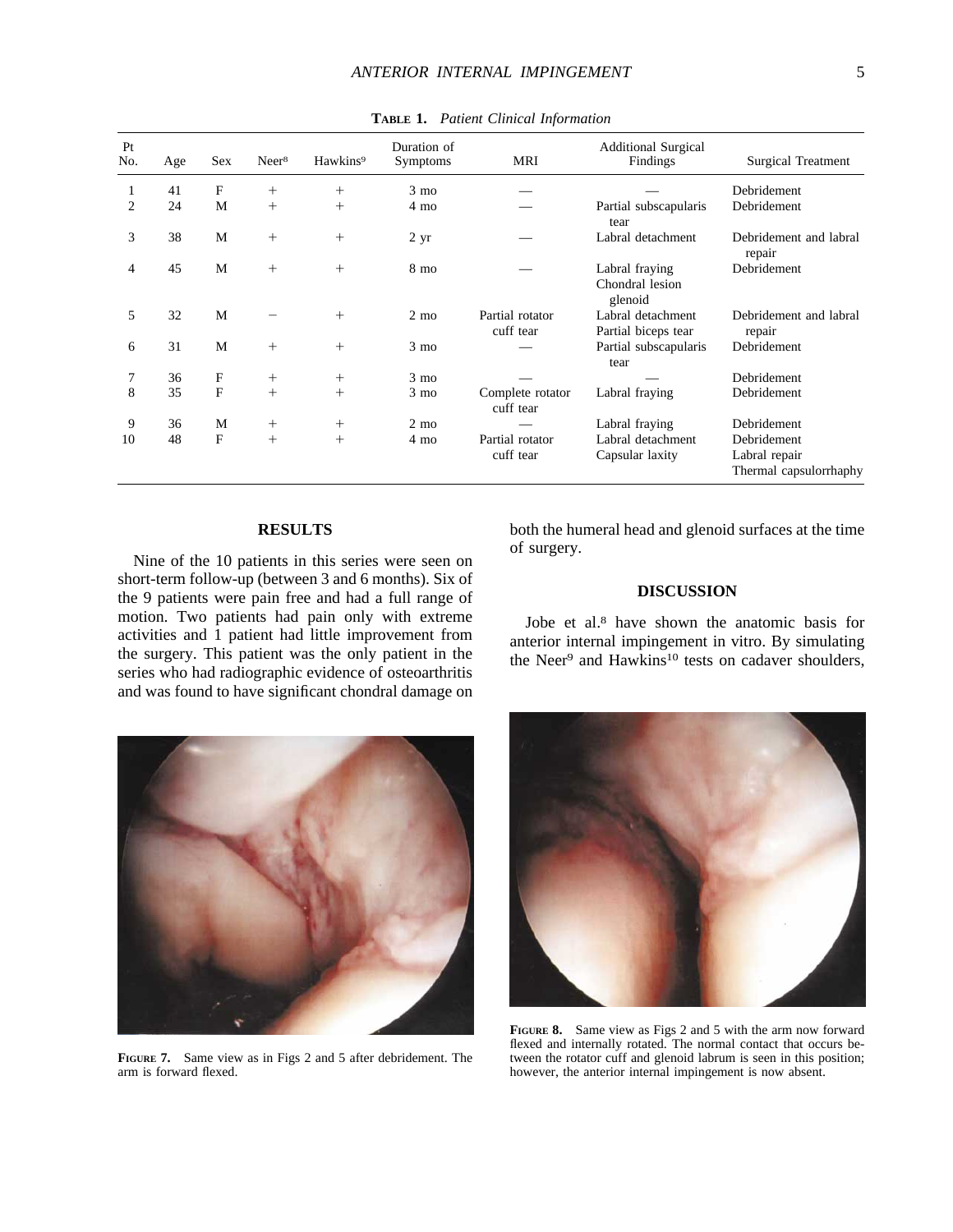| Pt<br>No. | Age | Sex | N <sub>ee</sub> <sup>8</sup> | Hawkins <sup>9</sup> | Duration of<br>Symptoms | MRI                           | <b>Additional Surgical</b><br>Findings       | <b>Surgical Treatment</b>                              |
|-----------|-----|-----|------------------------------|----------------------|-------------------------|-------------------------------|----------------------------------------------|--------------------------------------------------------|
| 1         | 41  | F   | $+$                          | $^+$                 | $3 \text{ mo}$          |                               |                                              | <b>Debridement</b>                                     |
| 2         | 24  | M   | $+$                          | $+$                  | 4 mo                    |                               | Partial subscapularis<br>tear                | Debridement                                            |
| 3         | 38  | M   | $+$                          | $+$                  | $2 \text{ yr}$          |                               | Labral detachment                            | Debridement and labral<br>repair                       |
| 4         | 45  | M   | $+$                          | $^{+}$               | 8 <sub>mo</sub>         |                               | Labral fraying<br>Chondral lesion<br>glenoid | Debridement                                            |
| 5         | 32  | M   |                              | $^+$                 | $2 \text{ mo}$          | Partial rotator<br>cuff tear  | Labral detachment<br>Partial biceps tear     | Debridement and labral<br>repair                       |
| 6         | 31  | M   | $+$                          | $^{+}$               | $3 \text{ mo}$          |                               | Partial subscapularis<br>tear                | Debridement                                            |
| 7         | 36  | F   | $^{+}$                       | $^+$                 | $3 \text{ mo}$          |                               |                                              | <b>Debridement</b>                                     |
| 8         | 35  | F   | $+$                          | $+$                  | $3 \text{ mo}$          | Complete rotator<br>cuff tear | Labral fraying                               | Debridement                                            |
| 9         | 36  | M   | $^{+}$                       | $^{+}$               | $2 \text{ mo}$          |                               | Labral fraying                               | Debridement                                            |
| 10        | 48  | F   | $+$                          | $^{+}$               | 4 mo                    | Partial rotator<br>cuff tear  | Labral detachment<br>Capsular laxity         | Debridement<br>Labral repair<br>Thermal capsulorrhaphy |

**TABLE 1.** *Patient Clinical Information*

#### **RESULTS**

Nine of the 10 patients in this series were seen on short-term follow-up (between 3 and 6 months). Six of the 9 patients were pain free and had a full range of motion. Two patients had pain only with extreme activities and 1 patient had little improvement from the surgery. This patient was the only patient in the series who had radiographic evidence of osteoarthritis and was found to have significant chondral damage on

**FIGURE 7.** Same view as in Figs 2 and 5 after debridement. The arm is forward flexed.

both the humeral head and glenoid surfaces at the time of surgery.

# **DISCUSSION**

Jobe et al.8 have shown the anatomic basis for anterior internal impingement in vitro. By simulating the Neer<sup>9</sup> and Hawkins<sup>10</sup> tests on cadaver shoulders,

**FIGURE 8.** Same view as Figs 2 and 5 with the arm now forward flexed and internally rotated. The normal contact that occurs between the rotator cuff and glenoid labrum is seen in this position; however, the anterior internal impingement is now absent.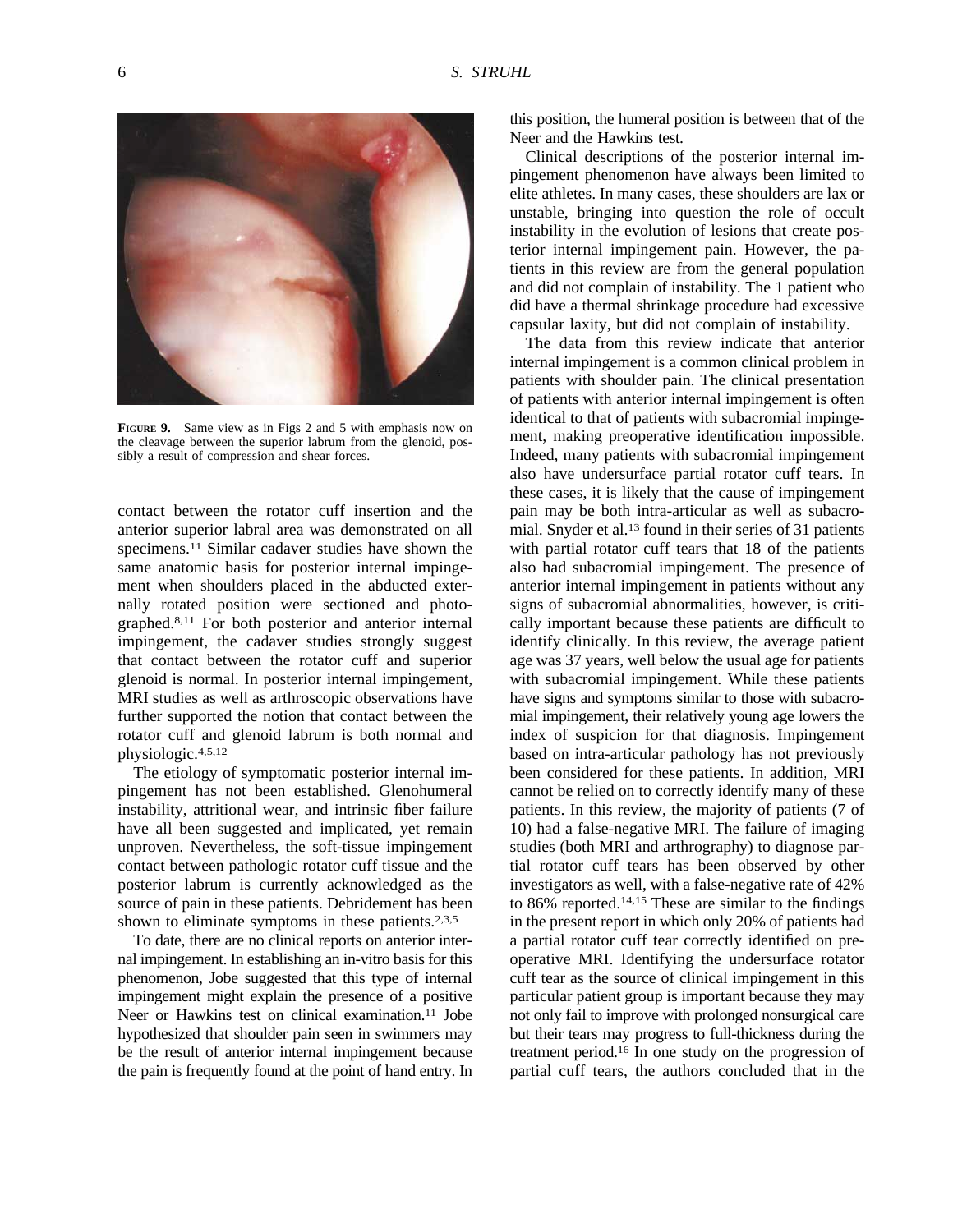

**FIGURE 9.** Same view as in Figs 2 and 5 with emphasis now on the cleavage between the superior labrum from the glenoid, possibly a result of compression and shear forces.

contact between the rotator cuff insertion and the anterior superior labral area was demonstrated on all specimens.11 Similar cadaver studies have shown the same anatomic basis for posterior internal impingement when shoulders placed in the abducted externally rotated position were sectioned and photographed.8,11 For both posterior and anterior internal impingement, the cadaver studies strongly suggest that contact between the rotator cuff and superior glenoid is normal. In posterior internal impingement, MRI studies as well as arthroscopic observations have further supported the notion that contact between the rotator cuff and glenoid labrum is both normal and physiologic.4,5,12

The etiology of symptomatic posterior internal impingement has not been established. Glenohumeral instability, attritional wear, and intrinsic fiber failure have all been suggested and implicated, yet remain unproven. Nevertheless, the soft-tissue impingement contact between pathologic rotator cuff tissue and the posterior labrum is currently acknowledged as the source of pain in these patients. Debridement has been shown to eliminate symptoms in these patients.<sup>2,3,5</sup>

To date, there are no clinical reports on anterior internal impingement. In establishing an in-vitro basis for this phenomenon, Jobe suggested that this type of internal impingement might explain the presence of a positive Neer or Hawkins test on clinical examination.<sup>11</sup> Jobe hypothesized that shoulder pain seen in swimmers may be the result of anterior internal impingement because the pain is frequently found at the point of hand entry. In

this position, the humeral position is between that of the Neer and the Hawkins test.

Clinical descriptions of the posterior internal impingement phenomenon have always been limited to elite athletes. In many cases, these shoulders are lax or unstable, bringing into question the role of occult instability in the evolution of lesions that create posterior internal impingement pain. However, the patients in this review are from the general population and did not complain of instability. The 1 patient who did have a thermal shrinkage procedure had excessive capsular laxity, but did not complain of instability.

The data from this review indicate that anterior internal impingement is a common clinical problem in patients with shoulder pain. The clinical presentation of patients with anterior internal impingement is often identical to that of patients with subacromial impingement, making preoperative identification impossible. Indeed, many patients with subacromial impingement also have undersurface partial rotator cuff tears. In these cases, it is likely that the cause of impingement pain may be both intra-articular as well as subacromial. Snyder et al.13 found in their series of 31 patients with partial rotator cuff tears that 18 of the patients also had subacromial impingement. The presence of anterior internal impingement in patients without any signs of subacromial abnormalities, however, is critically important because these patients are difficult to identify clinically. In this review, the average patient age was 37 years, well below the usual age for patients with subacromial impingement. While these patients have signs and symptoms similar to those with subacromial impingement, their relatively young age lowers the index of suspicion for that diagnosis. Impingement based on intra-articular pathology has not previously been considered for these patients. In addition, MRI cannot be relied on to correctly identify many of these patients. In this review, the majority of patients (7 of 10) had a false-negative MRI. The failure of imaging studies (both MRI and arthrography) to diagnose partial rotator cuff tears has been observed by other investigators as well, with a false-negative rate of 42% to 86% reported.14,15 These are similar to the findings in the present report in which only 20% of patients had a partial rotator cuff tear correctly identified on preoperative MRI. Identifying the undersurface rotator cuff tear as the source of clinical impingement in this particular patient group is important because they may not only fail to improve with prolonged nonsurgical care but their tears may progress to full-thickness during the treatment period.16 In one study on the progression of partial cuff tears, the authors concluded that in the